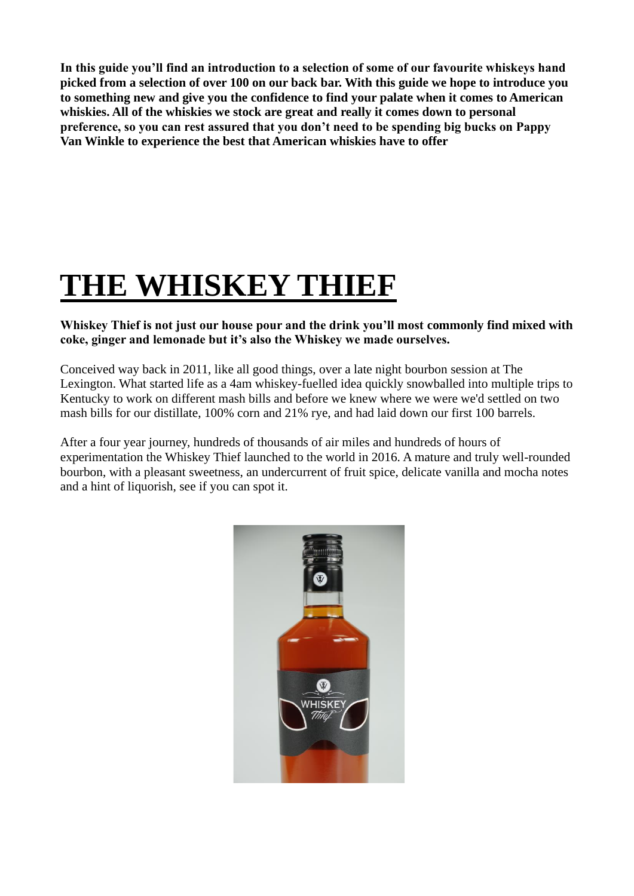**In this guide you'll find an introduction to a selection of some of our favourite whiskeys hand picked from a selection of over 100 on our back bar. With this guide we hope to introduce you to something new and give you the confidence to find your palate when it comes to American whiskies. All of the whiskies we stock are great and really it comes down to personal preference, so you can rest assured that you don't need to be spending big bucks on Pappy Van Winkle to experience the best that American whiskies have to offer**

## **THE WHISKEY THIEF**

#### **Whiskey Thief is not just our house pour and the drink you'll most commonly find mixed with coke, ginger and lemonade but it's also the Whiskey we made ourselves.**

Conceived way back in 2011, like all good things, over a late night bourbon session at The Lexington. What started life as a 4am whiskey-fuelled idea quickly snowballed into multiple trips to Kentucky to work on different mash bills and before we knew where we were we'd settled on two mash bills for our distillate, 100% corn and 21% rye, and had laid down our first 100 barrels.

After a four year journey, hundreds of thousands of air miles and hundreds of hours of experimentation the Whiskey Thief launched to the world in 2016. A mature and truly well-rounded bourbon, with a pleasant sweetness, an undercurrent of fruit spice, delicate vanilla and mocha notes and a hint of liquorish, see if you can spot it.

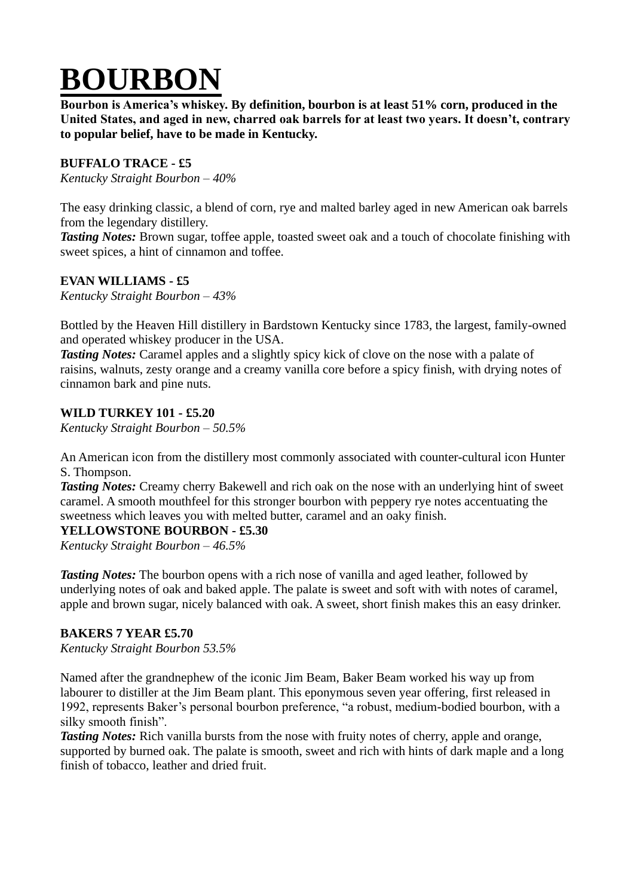## **BOURBON**

**Bourbon is America's whiskey. By definition, bourbon is at least 51% corn, produced in the United States, and aged in new, charred oak barrels for at least two years. It doesn't, contrary to popular belief, have to be made in Kentucky.**

## **BUFFALO TRACE - £5**

*Kentucky Straight Bourbon – 40%*

The easy drinking classic, a blend of corn, rye and malted barley aged in new American oak barrels from the legendary distillery.

*Tasting Notes:* Brown sugar, toffee apple, toasted sweet oak and a touch of chocolate finishing with sweet spices, a hint of cinnamon and toffee.

#### **EVAN WILLIAMS - £5**

*Kentucky Straight Bourbon – 43%*

Bottled by the Heaven Hill distillery in Bardstown Kentucky since 1783, the largest, family-owned and operated whiskey producer in the USA.

*Tasting Notes:* Caramel apples and a slightly spicy kick of clove on the nose with a palate of raisins, walnuts, zesty orange and a creamy vanilla core before a spicy finish, with drying notes of cinnamon bark and pine nuts.

#### **WILD TURKEY 101 - £5.20**

*Kentucky Straight Bourbon – 50.5%*

An American icon from the distillery most commonly associated with counter-cultural icon Hunter S. Thompson.

*Tasting Notes:* Creamy cherry Bakewell and rich oak on the nose with an underlying hint of sweet caramel. A smooth mouthfeel for this stronger bourbon with peppery rye notes accentuating the sweetness which leaves you with melted butter, caramel and an oaky finish.

#### **YELLOWSTONE BOURBON - £5.30**

*Kentucky Straight Bourbon – 46.5%*

*Tasting Notes:* The bourbon opens with a rich nose of vanilla and aged leather, followed by underlying notes of oak and baked apple. The palate is sweet and soft with with notes of caramel, apple and brown sugar, nicely balanced with oak. A sweet, short finish makes this an easy drinker.

#### **BAKERS 7 YEAR £5.70**

*Kentucky Straight Bourbon 53.5%*

Named after the grandnephew of the iconic Jim Beam, Baker Beam worked his way up from labourer to distiller at the Jim Beam plant. This eponymous seven year offering, first released in 1992, represents Baker's personal bourbon preference, "a robust, medium-bodied bourbon, with a silky smooth finish".

*Tasting Notes:* Rich vanilla bursts from the nose with fruity notes of cherry, apple and orange, supported by burned oak. The palate is smooth, sweet and rich with hints of dark maple and a long finish of tobacco, leather and dried fruit.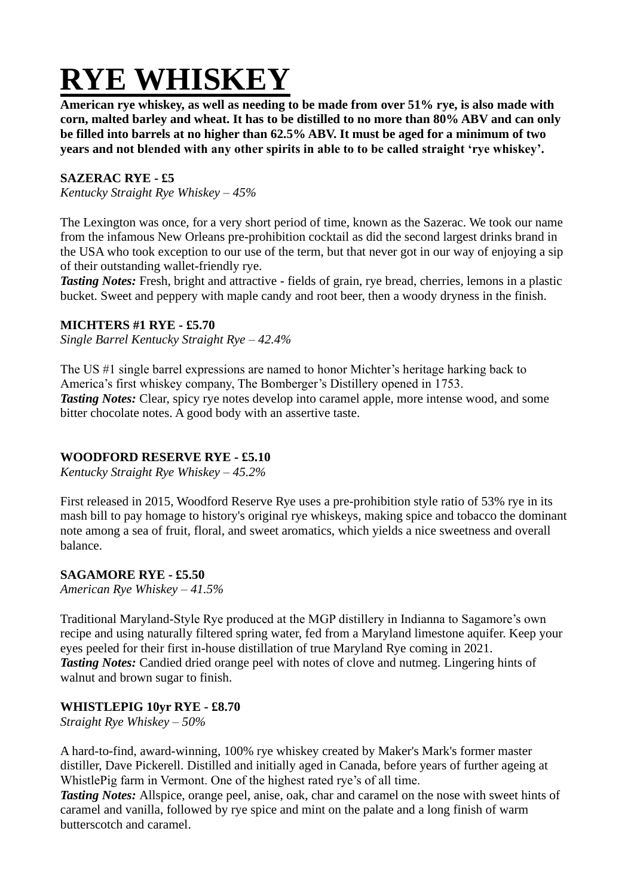## **RYE WHISKEY**

**American rye whiskey, as well as needing to be made from over 51% rye, is also made with corn, malted barley and wheat. It has to be distilled to no more than 80% ABV and can only be filled into barrels at no higher than 62.5% ABV. It must be aged for a minimum of two years and not blended with any other spirits in able to to be called straight 'rye whiskey'.**

### **SAZERAC RYE - £5**

*Kentucky Straight Rye Whiskey – 45%*

The Lexington was once, for a very short period of time, known as the Sazerac. We took our name from the infamous New Orleans pre-prohibition cocktail as did the second largest drinks brand in the USA who took exception to our use of the term, but that never got in our way of enjoying a sip of their outstanding wallet-friendly rye.

*Tasting Notes:* Fresh, bright and attractive - fields of grain, rye bread, cherries, lemons in a plastic bucket. Sweet and peppery with maple candy and root beer, then a woody dryness in the finish.

#### **MICHTERS #1 RYE - £5.70**

*Single Barrel Kentucky Straight Rye – 42.4%*

The US #1 single barrel expressions are named to honor Michter's heritage harking back to America's first whiskey company, The Bomberger's Distillery opened in 1753. *Tasting Notes:* Clear, spicy rye notes develop into caramel apple, more intense wood, and some bitter chocolate notes. A good body with an assertive taste.

#### **WOODFORD RESERVE RYE - £5.10**

*Kentucky Straight Rye Whiskey – 45.2%*

First released in 2015, Woodford Reserve Rye uses a pre-prohibition style ratio of 53% rye in its mash bill to pay homage to history's original rye whiskeys, making spice and tobacco the dominant note among a sea of fruit, floral, and sweet aromatics, which yields a nice sweetness and overall balance.

#### **SAGAMORE RYE - £5.50**

*American Rye Whiskey – 41.5%*

Traditional Maryland-Style Rye produced at the MGP distillery in Indianna to Sagamore's own recipe and using naturally filtered spring water, fed from a Maryland limestone aquifer. Keep your eyes peeled for their first in-house distillation of true Maryland Rye coming in 2021. *Tasting Notes:* Candied dried orange peel with notes of clove and nutmeg. Lingering hints of walnut and brown sugar to finish.

#### **WHISTLEPIG 10yr RYE - £8.70**

*Straight Rye Whiskey – 50%*

A hard-to-find, award-winning, 100% rye whiskey created by Maker's Mark's former master distiller, Dave Pickerell. Distilled and initially aged in Canada, before years of further ageing at WhistlePig farm in Vermont. One of the highest rated rye's of all time.

*Tasting Notes:* Allspice, orange peel, anise, oak, char and caramel on the nose with sweet hints of caramel and vanilla, followed by rye spice and mint on the palate and a long finish of warm butterscotch and caramel.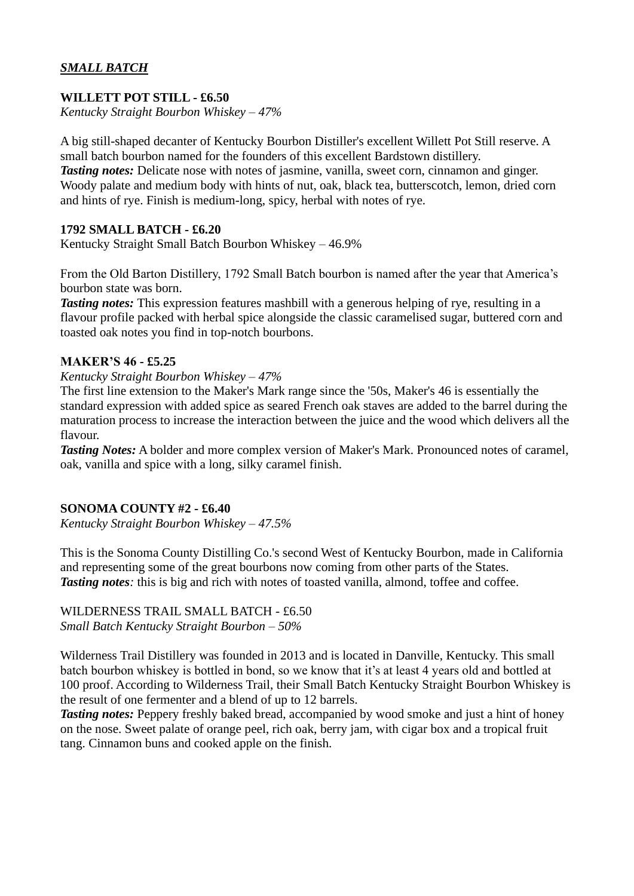#### *SMALL BATCH*

#### **WILLETT POT STILL - £6.50**

*Kentucky Straight Bourbon Whiskey – 47%*

A big still-shaped decanter of Kentucky Bourbon Distiller's excellent Willett Pot Still reserve. A small batch bourbon named for the founders of this excellent Bardstown distillery.

**Tasting notes:** Delicate nose with notes of jasmine, vanilla, sweet corn, cinnamon and ginger. Woody palate and medium body with hints of nut, oak, black tea, butterscotch, lemon, dried corn and hints of rye. Finish is medium-long, spicy, herbal with notes of rye.

#### **1792 SMALL BATCH - £6.20**

Kentucky Straight Small Batch Bourbon Whiskey – 46.9%

From the Old Barton Distillery, 1792 Small Batch bourbon is named after the year that America's bourbon state was born.

**Tasting notes:** This expression features mashbill with a generous helping of rye, resulting in a flavour profile packed with herbal spice alongside the classic caramelised sugar, buttered corn and toasted oak notes you find in top-notch bourbons.

#### **MAKER'S 46 - £5.25**

#### *Kentucky Straight Bourbon Whiskey – 47%*

The first line extension to the Maker's Mark range since the '50s, Maker's 46 is essentially the standard expression with added spice as seared French oak staves are added to the barrel during the maturation process to increase the interaction between the juice and the wood which delivers all the flavour.

*Tasting Notes:* A bolder and more complex version of Maker's Mark. Pronounced notes of caramel, oak, vanilla and spice with a long, silky caramel finish.

#### **SONOMA COUNTY #2 - £6.40**

*Kentucky Straight Bourbon Whiskey – 47.5%*

This is the Sonoma County Distilling Co.'s second West of Kentucky Bourbon, made in California and representing some of the great bourbons now coming from other parts of the States. **Tasting notes**: this is big and rich with notes of toasted vanilla, almond, toffee and coffee.

WILDERNESS TRAIL SMALL BATCH - £6.50 *Small Batch Kentucky Straight Bourbon – 50%*

Wilderness Trail Distillery was founded in 2013 and is located in Danville, Kentucky. This small batch bourbon whiskey is bottled in bond, so we know that it's at least 4 years old and bottled at 100 proof. According to Wilderness Trail, their Small Batch Kentucky Straight Bourbon Whiskey is the result of one fermenter and a blend of up to 12 barrels.

*Tasting notes:* Peppery freshly baked bread, accompanied by wood smoke and just a hint of honey on the nose. Sweet palate of orange peel, rich oak, berry jam, with cigar box and a tropical fruit tang. Cinnamon buns and cooked apple on the finish.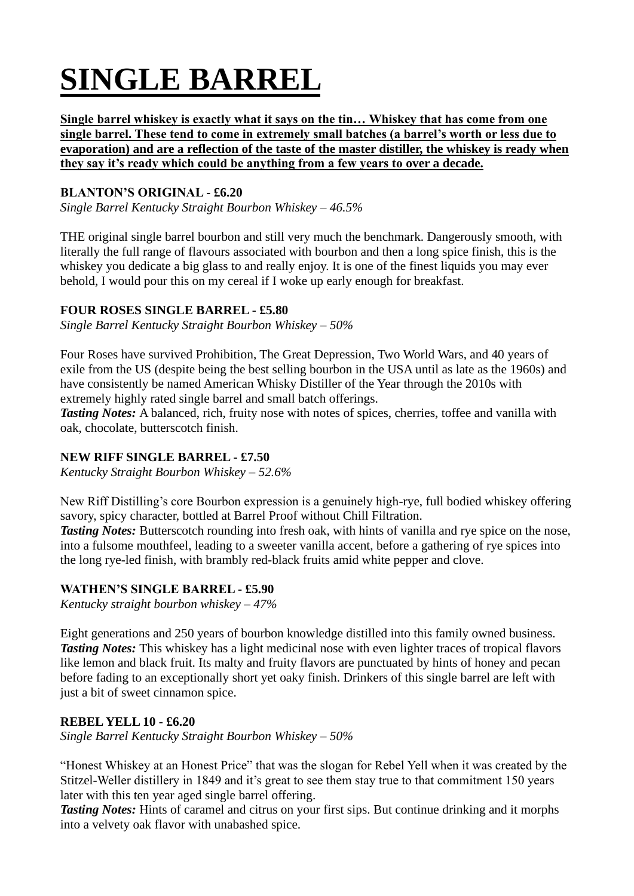# **SINGLE BARREL**

**Single barrel whiskey is exactly what it says on the tin… Whiskey that has come from one single barrel. These tend to come in extremely small batches (a barrel's worth or less due to evaporation) and are a reflection of the taste of the master distiller, the whiskey is ready when they say it's ready which could be anything from a few years to over a decade.**

### **BLANTON'S ORIGINAL - £6.20**

*Single Barrel Kentucky Straight Bourbon Whiskey – 46.5%*

THE original single barrel bourbon and still very much the benchmark. Dangerously smooth, with literally the full range of flavours associated with bourbon and then a long spice finish, this is the whiskey you dedicate a big glass to and really enjoy. It is one of the finest liquids you may ever behold, I would pour this on my cereal if I woke up early enough for breakfast.

## **FOUR ROSES SINGLE BARREL - £5.80**

*Single Barrel Kentucky Straight Bourbon Whiskey – 50%*

Four Roses have survived Prohibition, The Great Depression, Two World Wars, and 40 years of exile from the US (despite being the best selling bourbon in the USA until as late as the 1960s) and have consistently be named American Whisky Distiller of the Year through the 2010s with extremely highly rated single barrel and small batch offerings.

*Tasting Notes:* A balanced, rich, fruity nose with notes of spices, cherries, toffee and vanilla with oak, chocolate, butterscotch finish.

### **NEW RIFF SINGLE BARREL - £7.50**

*Kentucky Straight Bourbon Whiskey – 52.6%*

New Riff Distilling's core Bourbon expression is a genuinely high-rye, full bodied whiskey offering savory, spicy character, bottled at Barrel Proof without Chill Filtration.

*Tasting Notes:* Butterscotch rounding into fresh oak, with hints of vanilla and rye spice on the nose, into a fulsome mouthfeel, leading to a sweeter vanilla accent, before a gathering of rye spices into the long rye-led finish, with brambly red-black fruits amid white pepper and clove.

### **WATHEN'S SINGLE BARREL - £5.90**

*Kentucky straight bourbon whiskey – 47%*

Eight generations and 250 years of bourbon knowledge distilled into this family owned business. *Tasting Notes:* This whiskey has a light medicinal nose with even lighter traces of tropical flavors like lemon and black fruit. Its malty and fruity flavors are punctuated by hints of honey and pecan before fading to an exceptionally short yet oaky finish. Drinkers of this single barrel are left with just a bit of sweet cinnamon spice.

### **REBEL YELL 10 - £6.20**

*Single Barrel Kentucky Straight Bourbon Whiskey – 50%*

"Honest Whiskey at an Honest Price" that was the slogan for Rebel Yell when it was created by the Stitzel-Weller distillery in 1849 and it's great to see them stay true to that commitment 150 years later with this ten year aged single barrel offering.

*Tasting Notes:* Hints of caramel and citrus on your first sips. But continue drinking and it morphs into a velvety oak flavor with unabashed spice.